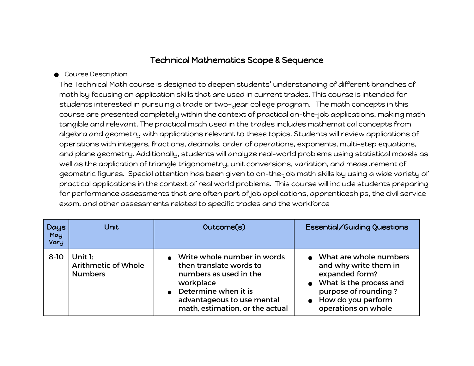## Technical Mathematics Scope & Sequence

## **Course Description**

The Technical Math course is designed to deepen students' understanding of different branches of math by focusing on application skills that are used in current trades. This course is intended for students interested in pursuing a trade or two-year college program. The math concepts in this course are presented completely within the context of practical on-the-job applications, making math tangible and relevant. The practical math used in the trades includes mathematical concepts from algebra and geometry with applications relevant to these topics. Students will review applications of operations with integers, fractions, decimals, order of operations, exponents, multi-step equations, and plane geometry. Additionally, students will analyze real-world problems using statistical models as well as the application of triangle trigonometry, unit conversions, variation, and measurement of geometric figures. Special attention has been given to on-the-job math skills by using a wide variety of practical applications in the context of real world problems. This course will include students preparing for performance assessments that are often part of job applications, apprenticeships, the civil service exam, and other assessments related to specific trades and the workforce

| <b>Days</b><br>May<br><b>Vary</b> | <b>Unit</b>                                               | Outcome(s)                                                                                                                                                                             | Essential/Guiding Questions                                                                                                                                       |
|-----------------------------------|-----------------------------------------------------------|----------------------------------------------------------------------------------------------------------------------------------------------------------------------------------------|-------------------------------------------------------------------------------------------------------------------------------------------------------------------|
| $8-10$                            | Unit $1:$<br><b>Arithmetic of Whole</b><br><b>Numbers</b> | Write whole number in words<br>then translate words to<br>numbers as used in the<br>workplace<br>Determine when it is<br>advantageous to use mental<br>math, estimation, or the actual | What are whole numbers<br>and why write them in<br>expanded form?<br>What is the process and<br>purpose of rounding?<br>How do you perform<br>operations on whole |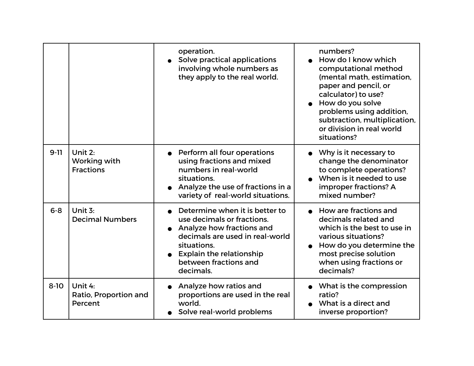|          |                                             | operation.<br>Solve practical applications<br>involving whole numbers as<br>they apply to the real world.                                                                                                            | numbers?<br>How do I know which<br>computational method<br>(mental math, estimation,<br>paper and pencil, or<br>calculator) to use?<br>How do you solve<br>problems using addition,<br>subtraction, multiplication,<br>or division in real world<br>situations? |
|----------|---------------------------------------------|----------------------------------------------------------------------------------------------------------------------------------------------------------------------------------------------------------------------|-----------------------------------------------------------------------------------------------------------------------------------------------------------------------------------------------------------------------------------------------------------------|
| $9 - 11$ | Unit 2:<br>Working with<br><b>Fractions</b> | Perform all four operations<br>using fractions and mixed<br>numbers in real-world<br>situations.<br>Analyze the use of fractions in a<br>variety of real-world situations.                                           | Why is it necessary to<br>change the denominator<br>to complete operations?<br>When is it needed to use<br>improper fractions? A<br>mixed number?                                                                                                               |
| $6 - 8$  | Unit 3:<br><b>Decimal Numbers</b>           | Determine when it is better to<br>use decimals or fractions.<br>Analyze how fractions and<br>decimals are used in real-world<br>situations.<br><b>Explain the relationship</b><br>between fractions and<br>decimals. | • How are fractions and<br>decimals related and<br>which is the best to use in<br>various situations?<br>How do you determine the<br>most precise solution<br>when using fractions or<br>decimals?                                                              |
| $8 - 10$ | Unit 4:<br>Ratio, Proportion and<br>Percent | Analyze how ratios and<br>proportions are used in the real<br>world.<br>Solve real-world problems                                                                                                                    | • What is the compression<br>ratio?<br>What is a direct and<br>inverse proportion?                                                                                                                                                                              |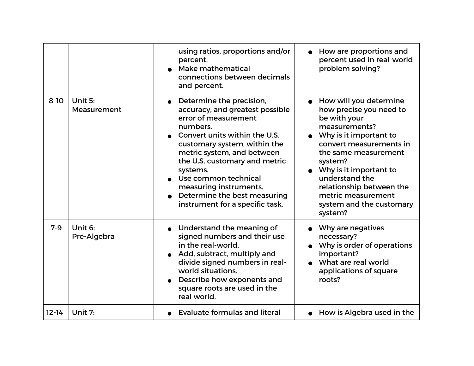|           |                        | using ratios, proportions and/or<br>percent.<br>Make mathematical<br>connections between decimals<br>and percent.                                                                                                                                                                                                                                                | How are proportions and<br>percent used in real-world<br>problem solving?                                                                                                                                                                                                                                                   |
|-----------|------------------------|------------------------------------------------------------------------------------------------------------------------------------------------------------------------------------------------------------------------------------------------------------------------------------------------------------------------------------------------------------------|-----------------------------------------------------------------------------------------------------------------------------------------------------------------------------------------------------------------------------------------------------------------------------------------------------------------------------|
| $8 - 10$  | Unit 5:<br>Measurement | Determine the precision,<br>accuracy, and greatest possible<br>error of measurement<br>numbers.<br>Convert units within the U.S.<br>customary system, within the<br>metric system, and between<br>the U.S. customary and metric<br>systems.<br>Use common technical<br>measuring instruments.<br>Determine the best measuring<br>instrument for a specific task. | • How will you determine<br>how precise you need to<br>be with your<br>measurements?<br>Why is it important to<br>convert measurements in<br>the same measurement<br>system?<br>$\bullet$ Why is it important to<br>understand the<br>relationship between the<br>metric measurement<br>system and the customary<br>system? |
| $7-9$     | Unit 6:<br>Pre-Algebra | Understand the meaning of<br>signed numbers and their use<br>in the real-world.<br>Add, subtract, multiply and<br>divide signed numbers in real-<br>world situations.<br>Describe how exponents and<br>square roots are used in the<br>real world.                                                                                                               | Why are negatives<br>necessary?<br>Why is order of operations<br>important?<br>What are real world<br>applications of square<br>roots?                                                                                                                                                                                      |
| $12 - 14$ | Unit 7:                | <b>Evaluate formulas and literal</b>                                                                                                                                                                                                                                                                                                                             | How is Algebra used in the                                                                                                                                                                                                                                                                                                  |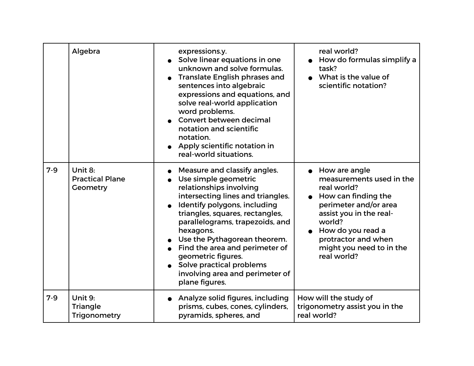|       | Algebra                                       | expressions.y.<br>Solve linear equations in one<br>unknown and solve formulas.<br><b>Translate English phrases and</b><br>sentences into algebraic<br>expressions and equations, and<br>solve real-world application<br>word problems.<br>Convert between decimal<br>notation and scientific<br>notation.<br>• Apply scientific notation in<br>real-world situations.                                            | real world?<br>How do formulas simplify a<br>task?<br>What is the value of<br>scientific notation?                                                                                                                                     |
|-------|-----------------------------------------------|------------------------------------------------------------------------------------------------------------------------------------------------------------------------------------------------------------------------------------------------------------------------------------------------------------------------------------------------------------------------------------------------------------------|----------------------------------------------------------------------------------------------------------------------------------------------------------------------------------------------------------------------------------------|
| $7-9$ | Unit 8:<br><b>Practical Plane</b><br>Geometry | Measure and classify angles.<br>Use simple geometric<br>relationships involving<br>intersecting lines and triangles.<br>Identify polygons, including<br>triangles, squares, rectangles,<br>parallelograms, trapezoids, and<br>hexagons.<br>Use the Pythagorean theorem.<br>Find the area and perimeter of<br>geometric figures.<br>Solve practical problems<br>involving area and perimeter of<br>plane figures. | • How are angle<br>measurements used in the<br>real world?<br>How can finding the<br>perimeter and/or area<br>assist you in the real-<br>world?<br>How do you read a<br>protractor and when<br>might you need to in the<br>real world? |
| $7-9$ | Unit 9:<br><b>Triangle</b><br>Trigonometry    | Analyze solid figures, including<br>prisms, cubes, cones, cylinders,<br>pyramids, spheres, and                                                                                                                                                                                                                                                                                                                   | How will the study of<br>trigonometry assist you in the<br>real world?                                                                                                                                                                 |